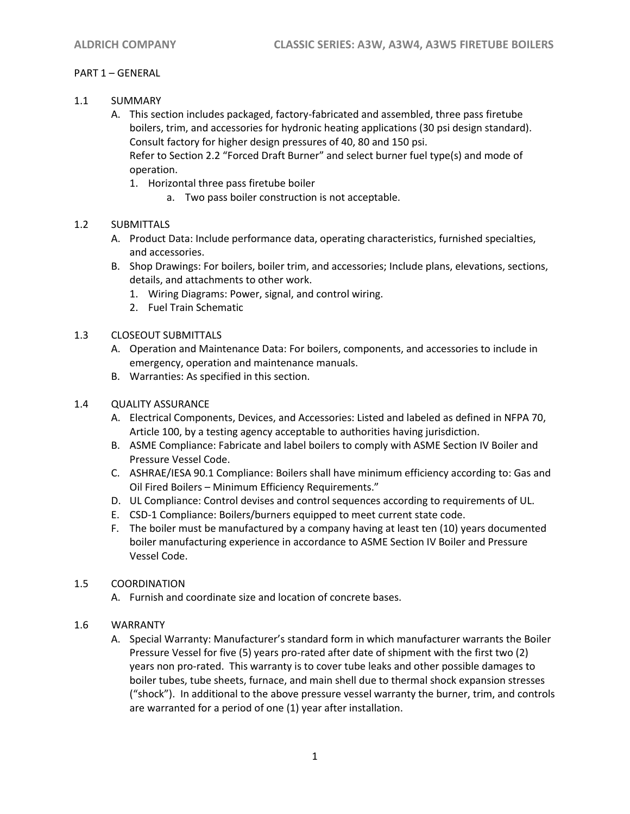## PART 1 – GENERAL

- 1.1 SUMMARY
	- A. This section includes packaged, factory-fabricated and assembled, three pass firetube boilers, trim, and accessories for hydronic heating applications (30 psi design standard). Consult factory for higher design pressures of 40, 80 and 150 psi. Refer to Section 2.2 "Forced Draft Burner" and select burner fuel type(s) and mode of operation.
		- 1. Horizontal three pass firetube boiler
			- a. Two pass boiler construction is not acceptable.

# 1.2 SUBMITTALS

- A. Product Data: Include performance data, operating characteristics, furnished specialties, and accessories.
- B. Shop Drawings: For boilers, boiler trim, and accessories; Include plans, elevations, sections, details, and attachments to other work.
	- 1. Wiring Diagrams: Power, signal, and control wiring.
	- 2. Fuel Train Schematic
- 1.3 CLOSEOUT SUBMITTALS
	- A. Operation and Maintenance Data: For boilers, components, and accessories to include in emergency, operation and maintenance manuals.
	- B. Warranties: As specified in this section.

## 1.4 QUALITY ASSURANCE

- A. Electrical Components, Devices, and Accessories: Listed and labeled as defined in NFPA 70, Article 100, by a testing agency acceptable to authorities having jurisdiction.
- B. ASME Compliance: Fabricate and label boilers to comply with ASME Section IV Boiler and Pressure Vessel Code.
- C. ASHRAE/IESA 90.1 Compliance: Boilers shall have minimum efficiency according to: Gas and Oil Fired Boilers – Minimum Efficiency Requirements."
- D. UL Compliance: Control devises and control sequences according to requirements of UL.
- E. CSD-1 Compliance: Boilers/burners equipped to meet current state code.
- F. The boiler must be manufactured by a company having at least ten (10) years documented boiler manufacturing experience in accordance to ASME Section IV Boiler and Pressure Vessel Code.

## 1.5 COORDINATION

A. Furnish and coordinate size and location of concrete bases.

## 1.6 WARRANTY

A. Special Warranty: Manufacturer's standard form in which manufacturer warrants the Boiler Pressure Vessel for five (5) years pro-rated after date of shipment with the first two (2) years non pro-rated. This warranty is to cover tube leaks and other possible damages to boiler tubes, tube sheets, furnace, and main shell due to thermal shock expansion stresses ("shock"). In additional to the above pressure vessel warranty the burner, trim, and controls are warranted for a period of one (1) year after installation.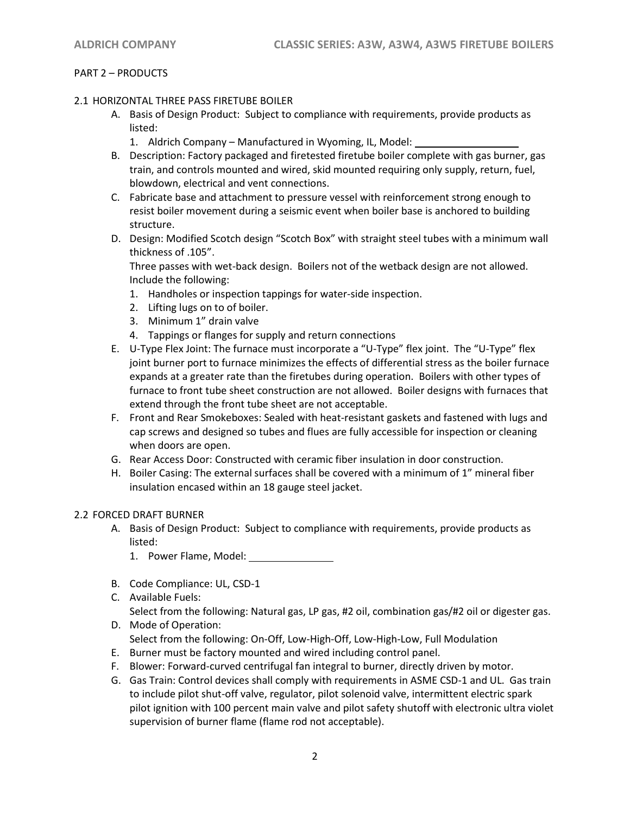## PART 2 – PRODUCTS

#### 2.1 HORIZONTAL THREE PASS FIRETUBE BOILER

- A. Basis of Design Product: Subject to compliance with requirements, provide products as listed:
	- 1. Aldrich Company Manufactured in Wyoming, IL, Model:
- B. Description: Factory packaged and firetested firetube boiler complete with gas burner, gas train, and controls mounted and wired, skid mounted requiring only supply, return, fuel, blowdown, electrical and vent connections.
- C. Fabricate base and attachment to pressure vessel with reinforcement strong enough to resist boiler movement during a seismic event when boiler base is anchored to building structure.
- D. Design: Modified Scotch design "Scotch Box" with straight steel tubes with a minimum wall thickness of .105".

Three passes with wet-back design. Boilers not of the wetback design are not allowed. Include the following:

- 1. Handholes or inspection tappings for water-side inspection.
- 2. Lifting lugs on to of boiler.
- 3. Minimum 1" drain valve
- 4. Tappings or flanges for supply and return connections
- E. U-Type Flex Joint: The furnace must incorporate a "U-Type" flex joint. The "U-Type" flex joint burner port to furnace minimizes the effects of differential stress as the boiler furnace expands at a greater rate than the firetubes during operation. Boilers with other types of furnace to front tube sheet construction are not allowed. Boiler designs with furnaces that extend through the front tube sheet are not acceptable.
- F. Front and Rear Smokeboxes: Sealed with heat-resistant gaskets and fastened with lugs and cap screws and designed so tubes and flues are fully accessible for inspection or cleaning when doors are open.
- G. Rear Access Door: Constructed with ceramic fiber insulation in door construction.
- H. Boiler Casing: The external surfaces shall be covered with a minimum of 1" mineral fiber insulation encased within an 18 gauge steel jacket.

## 2.2 FORCED DRAFT BURNER

- A. Basis of Design Product: Subject to compliance with requirements, provide products as listed:
	- 1. Power Flame, Model:
- B. Code Compliance: UL, CSD-1
- C. Available Fuels:

Select from the following: Natural gas, LP gas, #2 oil, combination gas/#2 oil or digester gas. D. Mode of Operation:

- Select from the following: On-Off, Low-High-Off, Low-High-Low, Full Modulation
- E. Burner must be factory mounted and wired including control panel.
- F. Blower: Forward-curved centrifugal fan integral to burner, directly driven by motor.
- G. Gas Train: Control devices shall comply with requirements in ASME CSD-1 and UL. Gas train to include pilot shut-off valve, regulator, pilot solenoid valve, intermittent electric spark pilot ignition with 100 percent main valve and pilot safety shutoff with electronic ultra violet supervision of burner flame (flame rod not acceptable).